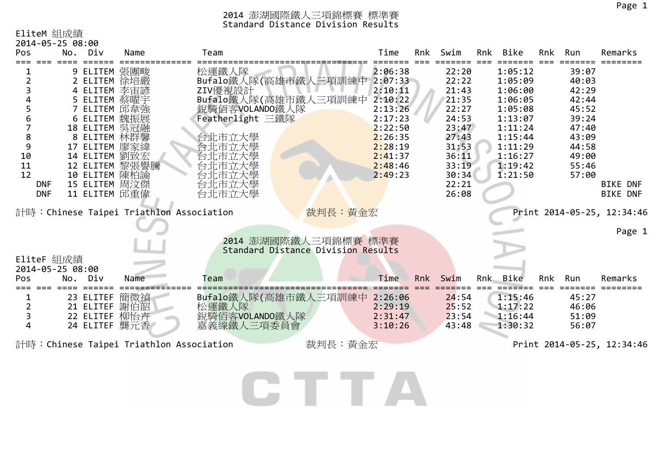# EliteM 組成績

| 2014-05-25 08:00               |                |                                         |                                    |         |     |       |     |          |     |       |                            |
|--------------------------------|----------------|-----------------------------------------|------------------------------------|---------|-----|-------|-----|----------|-----|-------|----------------------------|
| Pos                            | No. Div        | Name                                    | Team                               | Time    | Rnk | Swim  | Rnk | Bike     | Rnk | Run   | Remarks                    |
|                                | 9 ELITEM 張團畯   |                                         | 松運鐵人隊                              | 2:06:38 |     | 22:20 |     | 1:05:12  |     | 39:07 |                            |
|                                | 2 ELITEM 徐培嚴   |                                         | Bufalo鐵人隊(高雄市鐵人三項訓練中 2:07:33       |         |     | 22:22 |     | 1:05:09  |     | 40:03 |                            |
| 3                              | 4 ELITEM 李宙諺   |                                         | ZIV優視設計                            | 2:10:11 |     | 21:43 |     | 1:06:00  |     | 42:29 |                            |
| Δ                              | 5 ELITEM 蔡曜宇   |                                         | Bufalo鐵人隊(高雄市鐵人三項訓練中               | 2:10:22 |     | 21:35 |     | 1:06:05  |     | 42:44 |                            |
|                                | 7 ELITEM 邱韋強   |                                         | 銳騎佰客VOLANDO鐵人隊                     | 2:13:26 |     | 22:27 |     | 1:05:08  |     | 45:52 |                            |
| 6                              | 6 ELITEM 魏振展   |                                         | Featherlight 三鐵隊                   | 2:17:23 |     | 24:53 |     | 1:13:07  |     | 39:24 |                            |
| 7                              | 18 ELITEM 吳冠融  |                                         |                                    | 2:22:50 |     | 23:47 |     | 1:11:24  |     | 47:40 |                            |
| 8                              | 8 ELITEM 林群馨   |                                         | 台北市立大學                             | 2:26:35 |     | 27:43 |     | 1:15:44  |     | 43:09 |                            |
| 9                              | 17 ELITEM 廖家緯  |                                         | 台北市立大學                             | 2:28:19 |     | 31:53 |     | 1:11:29  |     | 44:58 |                            |
| 10                             | 14 ELITEM 劉致宏  |                                         | 台北市立大學                             | 2:41:37 |     | 36:11 |     | 1:16:27  |     | 49:00 |                            |
| 11                             | 12 ELITEM 黎張譽騰 |                                         | 台北市立大學                             | 2:48:46 |     | 33:19 |     | 1:19:42  |     | 55:46 |                            |
| 12                             | 10 ELITEM 陳柏諭  |                                         | 台北市立大學                             | 2:49:23 |     | 30:34 |     | 1:21:50  |     | 57:00 |                            |
| <b>DNF</b>                     | 15 ELITEM 周汶傑  |                                         | 台北市立大學                             |         |     | 22:21 |     |          |     |       | <b>BIKE DNF</b>            |
| <b>DNF</b>                     | 11 ELITEM 邱重偉  |                                         | 台北市立大學                             |         |     | 26:08 |     |          |     |       | <b>BIKE DNF</b>            |
|                                |                | 計時:Chinese Taipei Triathlon Association | 裁判長:黃金宏                            |         |     |       |     |          |     |       | Print 2014-05-25, 12:34:46 |
|                                |                |                                         |                                    |         |     |       |     |          |     |       | Page 1                     |
|                                |                |                                         | 2014 澎湖國際鐵人三項錦標賽 標準賽               |         |     |       |     |          |     |       |                            |
| EliteF 組成績<br>2014-05-25 08:00 |                |                                         | Standard Distance Division Results |         |     |       |     |          |     |       |                            |
| Pos                            | No.<br>Div     | Name                                    | Team                               | Time    | Rnk | Swim  |     | Rnk Bike | Rnk | Run   | Remarks                    |
|                                | 23 ELITEF      | 簡微禎                                     | Bufalo鐵人隊(高雄市鐵人三項訓練中               | 2:26:06 |     | 24:54 |     | 1:15:46  |     | 45:27 |                            |
| 2                              | 21 ELITEF      | 謝伯韶                                     | 松運鐵人隊                              | 2:29:19 |     | 25:52 |     | 1:17:22  |     | 46:06 |                            |
| 3                              | 22 ELITEF 柳怡卉  |                                         | 銳騎佰客VOLANDO鐵人隊                     | 2:31:47 |     | 23:54 |     | 1:16:44  |     | 51:09 |                            |
| 4                              | 24 ELITEF 龔元香  |                                         | 嘉義線鐵人三項委員會                         | 3:10:26 |     | 43:48 |     | 1:30:32  |     | 56:07 |                            |
|                                |                |                                         |                                    |         |     |       |     |          |     |       |                            |
|                                |                | 計時:Chinese Taipei Triathlon Association | 裁判長:黃金宏                            |         |     |       |     |          |     |       | Print 2014-05-25, 12:34:46 |

CTTA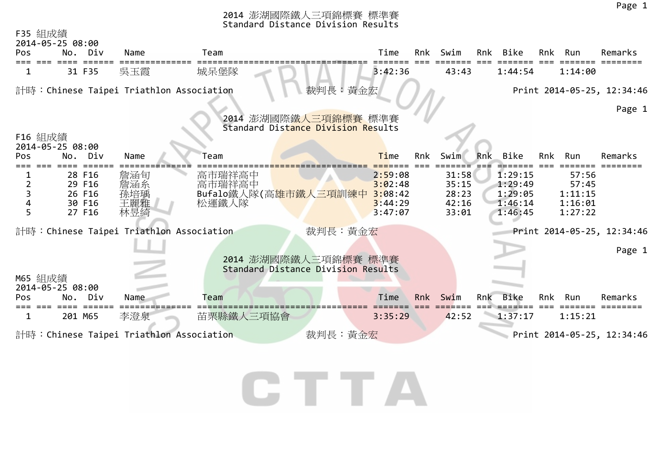| F35 組成績                  | 2014-05-25 08:00                               |                                 |                                                   |                                                            |     |                                           |     |                                                     |     |                                                 |                            |
|--------------------------|------------------------------------------------|---------------------------------|---------------------------------------------------|------------------------------------------------------------|-----|-------------------------------------------|-----|-----------------------------------------------------|-----|-------------------------------------------------|----------------------------|
| Pos                      | No. Div                                        | Name                            | Team                                              | Time                                                       | Rnk | Swim                                      |     | Rnk Bike                                            | Rnk | Run                                             | Remarks                    |
|                          | 31 F35                                         | 吳玉霞                             | 城呆堡隊                                              | 3:42:36                                                    |     | 43:43                                     |     | 1:44:54                                             |     | 1:14:00                                         |                            |
|                          |                                                |                                 | 計時: Chinese Taipei Triathlon Association          | 裁判長:黃金宏                                                    |     |                                           |     |                                                     |     |                                                 | Print 2014-05-25, 12:34:46 |
| F16 組成績                  |                                                |                                 |                                                   | 2014 澎湖國際鐵人三項錦標賽 標準賽<br>Standard Distance Division Results |     |                                           |     |                                                     |     |                                                 | Page 1                     |
| Pos.                     | 2014-05-25 08:00<br>No. Div                    | Name                            | Team                                              | Time                                                       | Rnk | Swim                                      | Rnk | Bike                                                | Rnk | Run                                             | Remarks                    |
| 2<br>$\overline{3}$<br>5 | 28 F16<br>29 F16<br>26 F16<br>30 F16<br>27 F16 | 詹涵旬<br>詹涵糸<br>孫培瑀<br>王麗雅<br>林昱綺 | 高市瑞祥高中<br>高市瑞祥高中<br>Bufalo鐵人隊(高雄市鐵人三項訓練中<br>松運鐵人隊 | 2:59:08<br>3:02:48<br>3:08:42<br>3:44:29<br>3:47:07        |     | 31:58<br>35:15<br>28:23<br>42:16<br>33:01 |     | 1:29:15<br>1:29:49<br>1:29:05<br>1:46:14<br>1:46:45 |     | 57:56<br>57:45<br>1:11:15<br>1:16:01<br>1:27:22 |                            |
|                          |                                                |                                 | 計時:Chinese Taipei Triathlon Association           | 裁判長:黃金宏                                                    |     |                                           |     |                                                     |     |                                                 | Print 2014-05-25, 12:34:46 |
|                          |                                                |                                 |                                                   | 2014 澎湖國際鐵人三項錦標賽 標準賽<br>Standard Distance Division Results |     |                                           |     |                                                     |     |                                                 | Page 1                     |
| M65 組成績<br><b>Pos</b>    | 2014-05-25 08:00<br>No. Div                    | Name                            | Team                                              | Time                                                       | Rnk | Swim                                      | Rnk | Bike                                                | Rnk | Run                                             | Remarks                    |
| 1                        | 201 M65                                        | 李澄泉                             | 苗栗縣鐵人三項協會                                         | 3:35:29                                                    |     | 42:52                                     |     | 1:37:17                                             |     | 1:15:21                                         |                            |
|                          |                                                |                                 | 計時:Chinese Taipei Triathlon Association           | 裁判長:黃金宏                                                    |     |                                           |     |                                                     |     |                                                 | Print 2014-05-25, 12:34:46 |

CTTA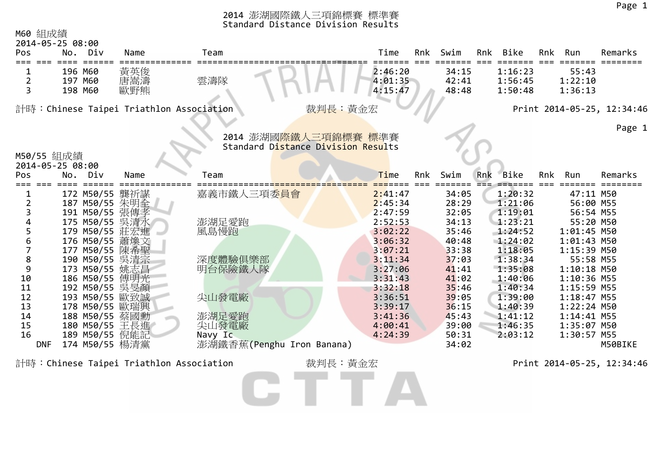| Pos                    | 2014-05-25 08:00<br>No.<br>Div                     | Name                                    | Team                                                       | Time                          |     | Rnk Swim                | Rnk | Bike                          | Rnk | Run                                           | Remarks                    |
|------------------------|----------------------------------------------------|-----------------------------------------|------------------------------------------------------------|-------------------------------|-----|-------------------------|-----|-------------------------------|-----|-----------------------------------------------|----------------------------|
| $\overline{2}$<br>3    | 196 M60<br>197 M60<br>198 M60                      | 黃英俊<br>唐嵩濤<br>歐野熊                       | 雲濤隊                                                        | 2:46:20<br>4:01:35<br>4:15:47 |     | 34:15<br>42:41<br>48:48 |     | 1:16:23<br>1:56:45<br>1:50:48 |     | 55:43<br>1:22:10<br>1:36:13                   |                            |
|                        |                                                    | 計時:Chinese Taipei Triathlon Association |                                                            | 裁判長: 黃金宏                      |     |                         |     |                               |     |                                               | Print 2014-05-25, 12:34:46 |
|                        |                                                    |                                         | 2014 澎湖國際鐵人三項錦標賽 標準賽<br>Standard Distance Division Results |                               |     |                         |     |                               |     |                                               | Page 1                     |
| M50/55 組成績             | 2014-05-25 08:00                                   |                                         |                                                            |                               |     |                         |     |                               |     |                                               |                            |
| Pos                    | No.<br>Div                                         | Name                                    | Team                                                       | Time                          | Rnk | Swim                    | Rnk | <b>Bike</b>                   | Rnk | Run                                           | Remarks                    |
| 1<br>$\overline{2}$    | 172 M50/55 龔祈謀<br>187 M50/55 朱明全                   |                                         | 嘉義市鐵人三項委員會                                                 | 2:41:47<br>2:45:34            |     | 34:05<br>28:29          |     | 1:20:32<br>1:21:06            |     | 47:11 M50<br>56:00 M55                        |                            |
| 3<br>5                 | 191 M50/55 張傳孝<br>175 M50/55<br>179 M50/55         | 吳清水<br>莊宏進                              | 澎湖足愛跑<br>風島慢跑                                              | 2:47:59<br>2:52:53<br>3:02:22 |     | 32:05<br>34:13<br>35:46 |     | 1:19:01<br>1:23:21<br>1:24:52 |     | 56:54 M55<br>55:20 M50<br>1:01:45 M50         |                            |
| 6<br>7<br>8            | 176 M50/55 蕭煥文<br>177 M50/55 陳希聖<br>190 M50/55     | 吳清宗                                     | 深度體驗俱樂部                                                    | 3:06:32<br>3:07:21<br>3:11:34 |     | 40:48<br>33:38<br>37:03 |     | 1:24:02<br>1:18:05<br>1:38:34 |     | 1:01:43 M50<br>1:15:39 M50<br>55:58 M55       |                            |
| 9<br>10<br>11          | 173 M50/55<br>186 M50/55<br>192 M50/55 吳旻顏         | 姚志昌<br>傅明光                              | 明台保險鐵人隊                                                    | 3:27:06<br>3:31:43<br>3:32:18 |     | 41:41<br>41:02<br>35:46 |     | 1:35:08<br>1:40:06<br>1:40:34 |     | $1:10:18$ M50<br>1:10:36 M55<br>1:15:59 M55   |                            |
| 12<br>13<br>14         | 193 M50/55 歐致誠<br>178 M50/55 歐瑞興<br>188 M50/55 蔡國勳 |                                         | 尖山發電廠<br>澎湖足愛跑                                             | 3:36:51<br>3:39:17<br>3:41:36 |     | 39:05<br>36:15<br>45:43 |     | 1:39:00<br>1:40:39<br>1:41:12 |     | 1:18:47 M55<br>$1:22:24$ M50<br>$1:14:41$ M55 |                            |
| 15<br>16<br><b>DNF</b> | 180 M50/55 王長進<br>189 M50/55 倪能記<br>174 M50/55 楊清黨 |                                         | 尖山發電廠<br>Navy Ic<br>澎湖鐵香蕉(Penghu Iron Banana)              | 4:00:41<br>4:24:39            |     | 39:00<br>50:31<br>34:02 |     | 1:46:35<br>2:03:12            |     | 1:35:07 M50<br>1:30:57 M55                    | M50BIKE                    |
|                        |                                                    | 計時:Chinese Taipei Triathlon Association |                                                            | 裁判長:黃金宏                       |     |                         |     |                               |     |                                               | Print 2014-05-25, 12:34:46 |

GTTA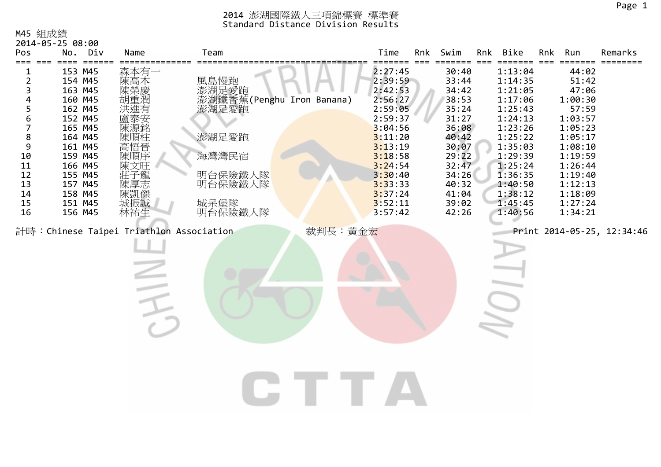#### M45 組成績

| Pos                                                                             | 2014-05-25 08:00<br>No. Div                                                                                                                                                  | Name                                                                                           | Team                                                                                                           | Time                                                                                                                                                                         | Rnk | Swim                                                                                                                                         | Rnk Bike                                                                                                                                                                     | Rnk | Run                                                                                                                                                                  | Remarks                    |
|---------------------------------------------------------------------------------|------------------------------------------------------------------------------------------------------------------------------------------------------------------------------|------------------------------------------------------------------------------------------------|----------------------------------------------------------------------------------------------------------------|------------------------------------------------------------------------------------------------------------------------------------------------------------------------------|-----|----------------------------------------------------------------------------------------------------------------------------------------------|------------------------------------------------------------------------------------------------------------------------------------------------------------------------------|-----|----------------------------------------------------------------------------------------------------------------------------------------------------------------------|----------------------------|
| 2<br>3<br>5<br>6<br>7<br>$\bf 8$<br>9<br>10<br>11<br>12<br>13<br>14<br>15<br>16 | 153 M45<br>154 M45<br>163 M45<br>160 M45<br>162 M45<br>152 M45<br>165 M45<br>164 M45<br>161 M45<br>159 M45<br>166 M45<br>155 M45<br>157 M45<br>158 M45<br>151 M45<br>156 M45 | 森本有-<br>陳高本<br>陳榮慶<br>洪难有<br>盧泰安<br>陳源銘<br>陳順柱<br>高悟晉<br>陳順序<br>陳文旺<br>"莊陳陳城"<br>《子厚凱振》<br>林祐生 | 風島慢跑<br>澎湖足愛跑<br>澎湖鐵香蕉(Penghu Iron Banana)<br>澎湖足愛跑<br>澎湖足愛跑<br>海灣灣民宿<br>明台保險鐵人隊<br>明台保險鐵人隊<br>城呆堡隊<br>明台保險鐵人隊 | 2:27:45<br>2:39:59<br>2:42:53<br>2:56:27<br>2:59:05<br>2:59:37<br>3:04:56<br>3:11:20<br>3:13:19<br>3:18:58<br>3:24:54<br>3:30:40<br>3:33:33<br>3:37:24<br>3:52:11<br>3:57:42 |     | 30:40<br>33:44<br>34:42<br>38:53<br>35:24<br>31:27<br>36:08<br>40:42<br>30:07<br>29:22<br>32:47<br>34:26<br>40:32<br>41:04<br>39:02<br>42:26 | 1:13:04<br>1:14:35<br>1:21:05<br>1:17:06<br>1:25:43<br>1:24:13<br>1:23:26<br>1:25:22<br>1:35:03<br>1:29:39<br>1:25:24<br>1:36:35<br>1:40:50<br>1:38:12<br>1:45:45<br>1:40:56 |     | 44:02<br>51:42<br>47:06<br>1:00:30<br>57:59<br>1:03:57<br>1:05:23<br>1:05:17<br>1:08:10<br>1:19:59<br>1:26:44<br>1:19:40<br>1:12:13<br>1:18:09<br>1:27:24<br>1:34:21 |                            |
|                                                                                 |                                                                                                                                                                              | 計時: Chinese Taipei Triathlon Association                                                       | 裁判長:黃金宏                                                                                                        |                                                                                                                                                                              |     |                                                                                                                                              |                                                                                                                                                                              |     |                                                                                                                                                                      | Print 2014-05-25, 12:34:46 |
|                                                                                 |                                                                                                                                                                              |                                                                                                |                                                                                                                |                                                                                                                                                                              |     |                                                                                                                                              |                                                                                                                                                                              |     |                                                                                                                                                                      |                            |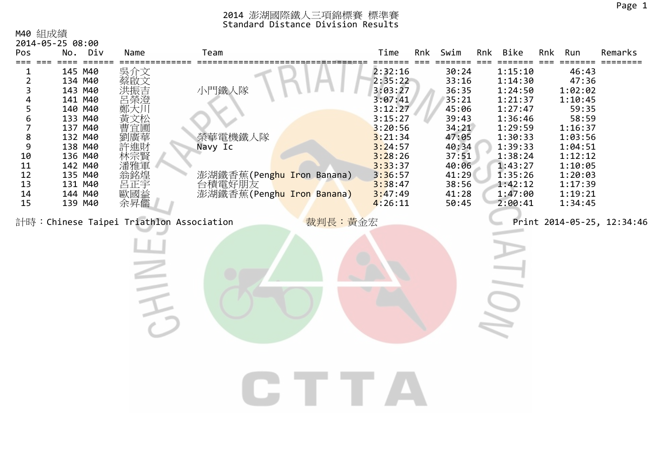Page 1

### M40 組成績

| 2014-05-25 08:00<br>Pos                                                                            |                                                                                                                                                                   | No. Div | Name                                                                                      | Team                                                                                            |         | Time                                                                                                                                                              | Rnk | Swim                                                                                                                                | Rnk | Bike                                                                                                                                                              | Rnk | Run                                                                                                                                                       | Remarks                    |
|----------------------------------------------------------------------------------------------------|-------------------------------------------------------------------------------------------------------------------------------------------------------------------|---------|-------------------------------------------------------------------------------------------|-------------------------------------------------------------------------------------------------|---------|-------------------------------------------------------------------------------------------------------------------------------------------------------------------|-----|-------------------------------------------------------------------------------------------------------------------------------------|-----|-------------------------------------------------------------------------------------------------------------------------------------------------------------------|-----|-----------------------------------------------------------------------------------------------------------------------------------------------------------|----------------------------|
| 2<br>3<br>5<br>6<br>7<br>$\begin{array}{c} 8 \\ 9 \end{array}$<br>10<br>11<br>12<br>13<br>14<br>15 | 145 M40<br>134 M40<br>143 M40<br>141 M40<br>140 M40<br>133 M40<br>137 M40<br>132 M40<br>138 M40<br>136 M40<br>142 M40<br>135 M40<br>131 M40<br>144 M40<br>139 M40 |         | 吳介文<br>蔡啟文<br>洪振吉<br>鄭大川<br>黃文松<br>曹宜圃<br>劉廣華<br>許進財<br>潘雅軍<br>為銘正國<br>歐<br>歐<br>歐<br>余昇儒 | 小門鐵人隊<br>榮華電機鐵人隊<br>Navy Ic<br>澎湖鐵香蕉(Penghu Iron Banana)<br>台積電好朋友<br>澎湖鐵香蕉(Penghu Iron Banana) |         | 2:32:16<br>2:35:22<br>3:03:27<br>3:07:41<br>3:12:27<br>3:15:27<br>3:20:56<br>3:21:34<br>3:24:57<br>3:28:26<br>3:33:37<br>3:36:57<br>3:38:47<br>3:47:49<br>4:26:11 |     | 30:24<br>33:16<br>36:35<br>35:21<br>45:06<br>39:43<br>34:21<br>47:05<br>40:34<br>37:51<br>40:06<br>41:29<br>38:56<br>41:28<br>50:45 |     | 1:15:10<br>1:14:30<br>1:24:50<br>1:21:37<br>1:27:47<br>1:36:46<br>1:29:59<br>1:30:33<br>1:39:33<br>1:38:24<br>1:43:27<br>1:35:26<br>1:42:12<br>1:47:00<br>2:00:41 |     | 46:43<br>47:36<br>1:02:02<br>1:10:45<br>59:35<br>58:59<br>1:16:37<br>1:03:56<br>1:04:51<br>1:12:12<br>1:10:05<br>1:20:03<br>1:17:39<br>1:19:21<br>1:34:45 |                            |
|                                                                                                    |                                                                                                                                                                   |         | 計時: Chinese Taipei Triathlon Association                                                  |                                                                                                 | 裁判長:黃金宏 |                                                                                                                                                                   |     |                                                                                                                                     |     |                                                                                                                                                                   |     |                                                                                                                                                           | Print 2014-05-25, 12:34:46 |
|                                                                                                    |                                                                                                                                                                   |         |                                                                                           |                                                                                                 |         |                                                                                                                                                                   |     |                                                                                                                                     |     |                                                                                                                                                                   |     |                                                                                                                                                           |                            |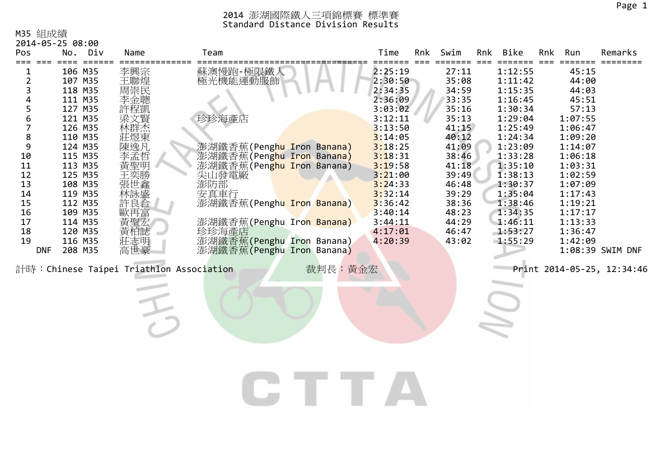#### M35 組成績

| 2014-05-25 08:00 |  |  |  |
|------------------|--|--|--|
|------------------|--|--|--|

| Pos                                                                                                                       | Div<br>No.                                                                                                                                                                                                    | Name                                                                                                                | Team                                                                                                                                                                                                                                                                       |         | Time                                                                                                                                                                                                          | Rnk | Swim                                                                                                                                                                    | Rnk | <b>Bike</b>                                                                                                                                                                                                   | Rnk | Run                                                                                                                                                                                                 | Remarks                                        |
|---------------------------------------------------------------------------------------------------------------------------|---------------------------------------------------------------------------------------------------------------------------------------------------------------------------------------------------------------|---------------------------------------------------------------------------------------------------------------------|----------------------------------------------------------------------------------------------------------------------------------------------------------------------------------------------------------------------------------------------------------------------------|---------|---------------------------------------------------------------------------------------------------------------------------------------------------------------------------------------------------------------|-----|-------------------------------------------------------------------------------------------------------------------------------------------------------------------------|-----|---------------------------------------------------------------------------------------------------------------------------------------------------------------------------------------------------------------|-----|-----------------------------------------------------------------------------------------------------------------------------------------------------------------------------------------------------|------------------------------------------------|
| ===<br>2<br>3<br>4<br>5<br>6<br>7<br>8<br>$\mathsf 9$<br>10<br>$11\,$<br>12<br>13<br>$14\,$<br>15<br>16<br>17<br>18<br>19 | 106 M35<br>107 M35<br>118 M35<br>111 M35<br>127 M35<br>121 M35<br>126 M35<br>110 M35<br>124 M35<br>115 M35<br>113 M35<br>125 M35<br>108 M35<br>119 M35<br>112 M35<br>109 M35<br>114 M35<br>120 M35<br>116 M35 | 李興宗<br>王聯煌<br>周崇民<br>李金聰<br>梁文賢<br>林群杰<br>莊煜東<br>陳逸凡<br>李孟哲<br>黃聖明<br>王奕勝<br>林詠盛<br>許良合<br>歐再富<br>黃聖宏<br>黃柏誌<br>莊志明 | 蘇澳慢跑-極限鐵人<br>極光機能運動服飾<br>珍珍海產店<br>澎湖鐵香蕉(Penghu Iron Banana)<br>澎湖鐵香蕉(Pen <mark>ghu Iron Banana)</mark><br>澎湖鐵香蕉(Pen <mark>ghu Ir</mark> on Banana)<br>尖山發電廠<br>澎防部<br>安真車行<br>澎湖鐵香蕉(Penghu Iron Banana)<br>澎湖鐵香蕉(Penghu Iron Banana)<br>珍珍海產店<br>澎湖鐵香蕉(Penghu Iron Banana) |         | 2:25:19<br>2:30:50<br>2:34:35<br>2:36:09<br>3:03:02<br>3:12:11<br>3:13:50<br>3:14:05<br>3:18:25<br>3:18:31<br>3:19:58<br>3:21:00<br>3:24:33<br>3:32:14<br>3:36:42<br>3:40:14<br>3:44:11<br>4:17:01<br>4:20:39 |     | 27:11<br>35:08<br>34:59<br>33:35<br>35:16<br>35:13<br>41:15<br>40:12<br>41:09<br>38:46<br>41:18<br>39:49<br>46:48<br>39:29<br>38:36<br>48:23<br>44:29<br>46:47<br>43:02 |     | 1:12:55<br>1:11:42<br>1:15:35<br>1:16:45<br>1:30:34<br>1:29:04<br>1:25:49<br>1:24:34<br>1:23:09<br>1:33:28<br>1:35:10<br>1:38:13<br>1:30:37<br>1:35:04<br>1:38:46<br>1:34:35<br>1:46:11<br>1:53:27<br>1:55:29 |     | 45:15<br>44:00<br>44:03<br>45:51<br>57:13<br>1:07:55<br>1:06:47<br>1:09:20<br>1:14:07<br>1:06:18<br>1:03:31<br>1:02:59<br>1:07:09<br>1:17:43<br>1:19:21<br>1:17:17<br>1:13:33<br>1:36:47<br>1:42:09 | ====                                           |
| <b>DNF</b>                                                                                                                | 208 M35                                                                                                                                                                                                       | 高世豪<br>計時: Chinese Taipei Triathlon Association                                                                     | 澎湖鐵香蕉(Penghu Iron Banana)                                                                                                                                                                                                                                                  | 裁判長:黃金宏 |                                                                                                                                                                                                               |     |                                                                                                                                                                         |     |                                                                                                                                                                                                               |     |                                                                                                                                                                                                     | 1:08:39 SWIM DNF<br>Print 2014-05-25, 12:34:46 |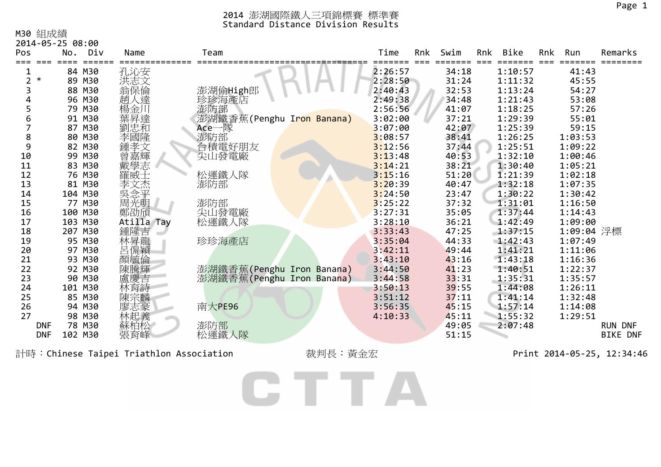#### M30 組成績

| ・ニーニー ハエエノン マハンベ<br>2014-05-25 08:00<br>Pos | No. Div          | Name        | Team                      | Time               | Rnk | Swim           | Rnk | Bike               | Rnk | Run            | Remarks         |
|---------------------------------------------|------------------|-------------|---------------------------|--------------------|-----|----------------|-----|--------------------|-----|----------------|-----------------|
|                                             |                  |             |                           |                    |     |                |     |                    |     |                |                 |
| $\ast$<br>2                                 | 84 M30<br>89 M30 | 孔沁安         |                           | 2:26:57<br>2:28:50 |     | 34:18<br>31:24 |     | 1:10:57<br>1:11:32 |     | 41:43<br>45:55 |                 |
|                                             | 88 M30           | 洪志文<br>翁保倫  | 澎湖偷High郎                  | 2:40:43            |     | 32:53          |     | 1:13:24            |     | 54:27          |                 |
|                                             | 96 M30           | 趙人達         | 珍珍海產店                     | 2:49:38            |     | 34:48          |     | 1:21:43            |     | 53:08          |                 |
|                                             | 79 M30           | 楊金川         | 澎防部                       | 2:56:56            |     | 41:07          |     | 1:18:25            |     | 57:26          |                 |
| 6                                           | 91 M30           | 葉昇達         | 澎湖鐵香蕉(Penghu Iron Banana) | 3:02:00            |     | 37:21          |     | 1:29:39            |     | 55:01          |                 |
|                                             | 87 M30           | 劉忠和         | Ace一隊                     | 3:07:00            |     | 42:07          |     | 1:25:39            |     | 59:15          |                 |
| 8                                           | 80 M30           | 李國隆         | 澎防部                       | 3:08:57            |     | 38:41          |     | 1:26:25            |     | 1:03:53        |                 |
| 9                                           | 82 M30           | 鍾孝文         | 台積電好朋友                    | 3:12:56            |     | 37:44          |     | 1:25:51            |     | 1:09:22        |                 |
| 10                                          | 99 M30           |             | 尖山發電廠                     | 3:13:48            |     | 40:53          |     | 1:32:10            |     | 1:00:46        |                 |
| 11                                          | 83 M30           | 普嘉輝<br>戴學志  |                           | 3:14:21            |     | 38:21          |     | 1:30:40            |     | 1:05:21        |                 |
| 12                                          | 76 M30           | 羅威士         | 松運鐵人隊                     | 3:15:16            |     | 51:20          |     | 1:21:39            |     | 1:02:18        |                 |
| 13                                          | 81 M30           | 李文杰         | 澎防部                       | 3:20:39            |     | 40:47          |     | 1:32:18            |     | 1:07:35        |                 |
| 14                                          | 104 M30          | ·吴念平<br>周光明 |                           | 3:24:50            |     | 23:47          |     | 1:30:22            |     | 1:30:42        |                 |
| 15                                          | 77 M30           |             | 澎防部                       | 3:25:22            |     | 37:32          |     | 1:31:01            |     | 1:16:50        |                 |
| 16                                          | 100 M30          | 鄭劭頎         | 尖山發電廠                     | 3:27:31            |     | 35:05          |     | 1:37:44            |     | 1:14:43        |                 |
| 17                                          | 103 M30          | Atilla Tay  | 松運鐵人隊                     | 3:28:10            |     | 36:21          |     | 1:42:49            |     | 1:09:00        |                 |
| 18                                          | 207 M30          | 鍾隆吉         |                           | 3:33:43            |     | 47:25          |     | 1:37:15            |     | 1:09:04 浮標     |                 |
| 19                                          | 95 M30           | 林昇龍         | 珍珍海產店                     | 3:35:04            |     | 44:33          |     | 1:42:43            |     | 1:07:49        |                 |
| 20                                          | 97 M30           | 呂侃穎         |                           | 3:42:11            |     | 49:44          |     | 1:41:21            |     | 1:11:06        |                 |
| 21                                          | 93 M30           | 顏毓倫         |                           | 3:43:10            |     | 43:16          |     | 1:43:18            |     | 1:16:36        |                 |
| 22                                          | 92 M30           | 陳騰輝         | 澎湖鐵香蕉(Penghu Iron Banana) | 3:44:50            |     | 41:23          |     | 1:40:51            |     | 1:22:37        |                 |
| 23                                          | 90 M30           | 盧慶吉         | 澎湖鐵香蕉(Penghu Iron Banana) | 3:44:58            |     | 33:31          |     | 1:35:31            |     | 1:35:57        |                 |
| 24                                          | 101 M30          | 林育詩         |                           | 3:50:13            |     | 39:55          |     | 1:44:08            |     | 1:26:11        |                 |
| 25                                          | 85 M30           | 陳宗麟         |                           | 3:51:12            |     | 37:11          |     | 1:41:14            |     | 1:32:48        |                 |
| 26                                          | 94 M30           | 廖志豪         | 南大PE96                    | 3:56:35            |     | 45:15          |     | 1:57:14            |     | 1:14:08        |                 |
| 27                                          | 98 M30           | 林起義         |                           | 4:10:33            |     | 45:11          |     | 1:55:32            |     | 1:29:51        |                 |
| <b>DNF</b>                                  | 78 M30           | 蘇柏松         | 澎防部                       |                    |     | 49:05          |     | 2:07:48            |     |                | <b>RUN DNF</b>  |
| <b>DNF</b>                                  | 102 M30          | 張育峰         | 松運鐵人隊                     |                    |     | 51:15          |     |                    |     |                | <b>BIKE DNF</b> |

計時:Chinese Taipei Triathlon Association 裁判長:黃金宏 Print 2014-05-25, 12:34:46

CTTA